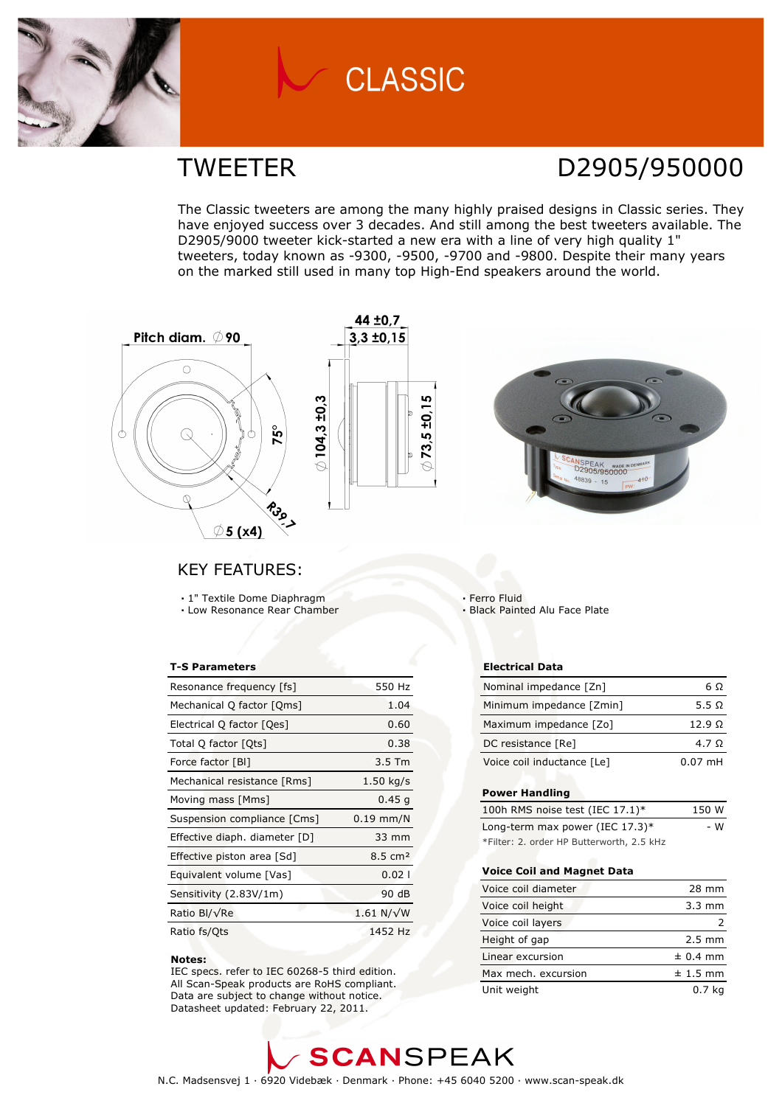

## **CLASSIC**

### TWEETER D2905/950000

The Classic tweeters are among the many highly praised designs in Classic series. They have enjoyed success over 3 decades. And still among the best tweeters available. The D2905/9000 tweeter kick-started a new era with a line of very high quality 1" tweeters, today known as -9300, -9500, -9700 and -9800. Despite their many years on the marked still used in many top High-End speakers around the world.



### KEY FEATURES:

 1" Textile Dome Diaphragm Low Resonance Rear Chamber

#### T-S Parameters

| Resonance frequency [fs]      | 550 Hz               |
|-------------------------------|----------------------|
| Mechanical Q factor [Qms]     | 1.04                 |
| Electrical Q factor [Qes]     | 0.60                 |
| Total Q factor [Ots]          | 0.38                 |
| Force factor [BI]             | $3.5$ Tm             |
| Mechanical resistance [Rms]   | $1.50$ kg/s          |
| Moving mass [Mms]             | 0.45q                |
| Suspension compliance [Cms]   | $0.19$ mm/N          |
| Effective diaph. diameter [D] | 33 mm                |
| Effective piston area [Sd]    | $8.5 \text{ cm}^2$   |
| Equivalent volume [Vas]       | 0.021                |
| Sensitivity (2.83V/1m)        | 90 dB                |
| Ratio Bl/√Re                  | $1.61$ N/ $\sqrt{W}$ |
| Ratio fs/Qts                  | 1452 Hz              |

#### Notes:

 IEC specs. refer to IEC 60268-5 third edition. All Scan-Speak products are RoHS compliant. Data are subject to change without notice. Datasheet updated: February 22, 2011.

 Ferro Fluid **Black Painted Alu Face Plate** 

#### Electrical Data

| Nominal impedance [Zn]     | 6 O           |
|----------------------------|---------------|
| Minimum impedance [Zmin]   | 5.5 $\Omega$  |
| Maximum impedance [Zo]     | $12.9 \Omega$ |
| DC resistance [Re]         | 4.7 Q         |
| Voice coil inductance [Le] | $0.07$ mH     |

#### Power Handling

| 100h RMS noise test (IEC 17.1)*           | 150 W |
|-------------------------------------------|-------|
| Long-term max power (IEC $17.3$ )*        | - W   |
| *Filter: 2. order HP Butterworth, 2.5 kHz |       |

#### Voice Coil and Magnet Data

| Voice coil diameter | 28 mm            |
|---------------------|------------------|
| Voice coil height   | $3.3 \text{ mm}$ |
| Voice coil layers   |                  |
| Height of gap       | $2.5 \text{ mm}$ |
| Linear excursion    | $± 0.4$ mm       |
| Max mech, excursion | $± 1.5$ mm       |
| Unit weight         | 0.7 kg           |